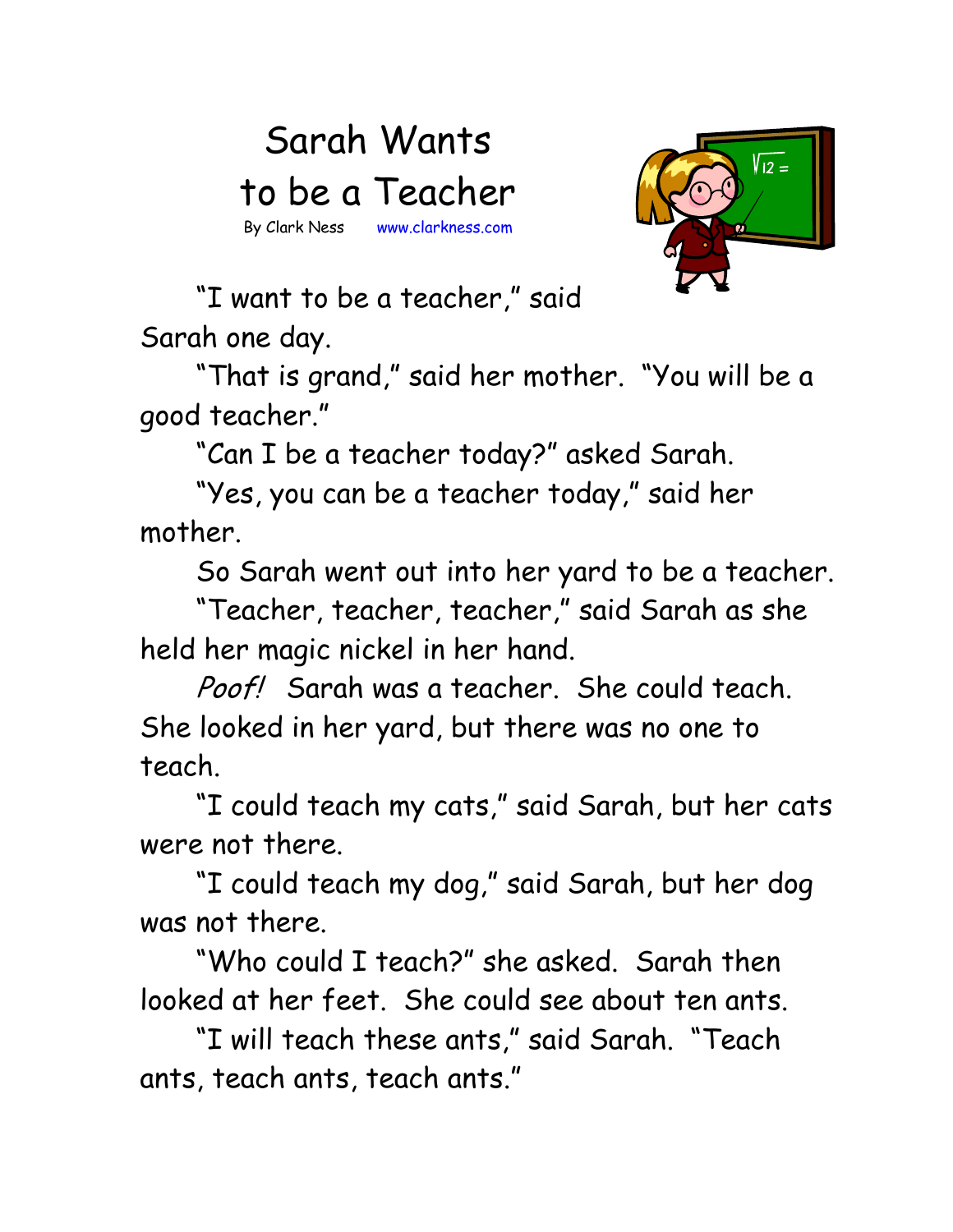## Sarah Wants to be a Teacher By Clark Ness www.clarkness.com



 "I want to be a teacher," said Sarah one day.

 "That is grand," said her mother. "You will be a good teacher."

"Can I be a teacher today?" asked Sarah.

 "Yes, you can be a teacher today," said her mother.

So Sarah went out into her yard to be a teacher.

 "Teacher, teacher, teacher," said Sarah as she held her magic nickel in her hand.

Poof! Sarah was a teacher. She could teach. She looked in her yard, but there was no one to teach.

 "I could teach my cats," said Sarah, but her cats were not there.

 "I could teach my dog," said Sarah, but her dog was not there.

 "Who could I teach?" she asked. Sarah then looked at her feet. She could see about ten ants.

 "I will teach these ants," said Sarah. "Teach ants, teach ants, teach ants."